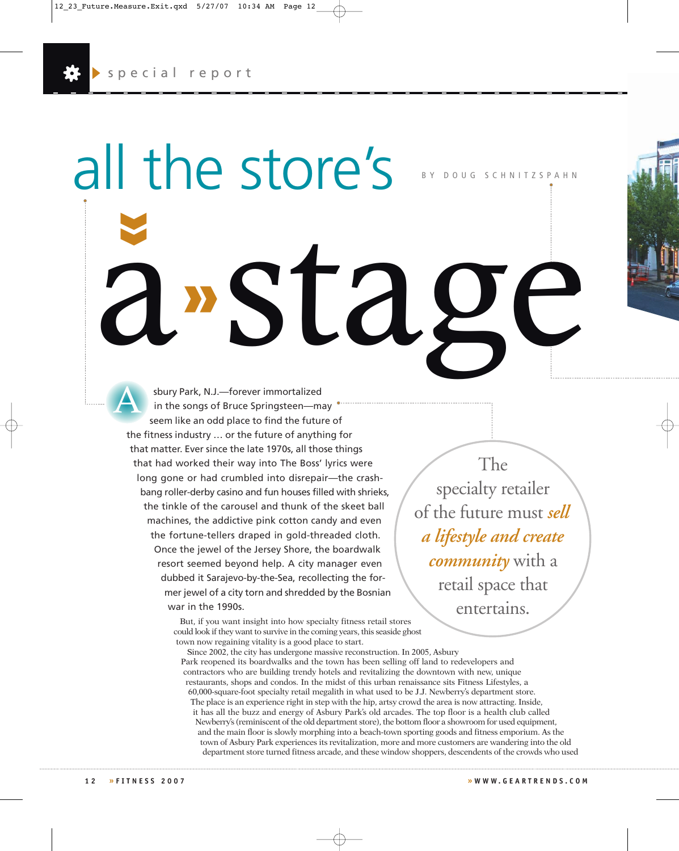**»**

all the store's

**»**

BY DOUG SCHNITZSPAHN

sbury Park, N.J.—forever immortalized in the songs of Bruce Springsteen—may seem like an odd place to find the future of the fitness industry … or the future of anything for that matter. Ever since the late 1970s, all those things that had worked their way into The Boss' lyrics were long gone or had crumbled into disrepair—the crashbang roller-derby casino and fun houses filled with shrieks, the tinkle of the carousel and thunk of the skeet ball machines, the addictive pink cotton candy and even the fortune-tellers draped in gold-threaded cloth. Once the jewel of the Jersey Shore, the boardwalk resort seemed beyond help. A city manager even dubbed it Sarajevo-by-the-Sea, recollecting the former jewel of a city torn and shredded by the Bosnian war in the 1990s. a stage *A*

But, if you want insight into how specialty fitness retail stores

The specialty retailer of the future must *sell a lifestyle and create community* with a retail space that entertains.

could look if they want to survive in the coming years, this seaside ghost town now regaining vitality is a good place to start.

Since 2002, the city has undergone massive reconstruction. In 2005, Asbury Park reopened its boardwalks and the town has been selling off land to redevelopers and contractors who are building trendy hotels and revitalizing the downtown with new, unique restaurants, shops and condos. In the midst of this urban renaissance sits Fitness Lifestyles, a 60,000-square-foot specialty retail megalith in what used to be J.J. Newberry's department store. The place is an experience right in step with the hip, artsy crowd the area is now attracting. Inside, it has all the buzz and energy of Asbury Park's old arcades. The top floor is a health club called Newberry's (reminiscent of the old department store), the bottom floor a showroom for used equipment, and the main floor is slowly morphing into a beach-town sporting goods and fitness emporium. As the town of Asbury Park experiences its revitalization, more and more customers are wandering into the old department store turned fitness arcade, and these window shoppers, descendents of the crowds who used